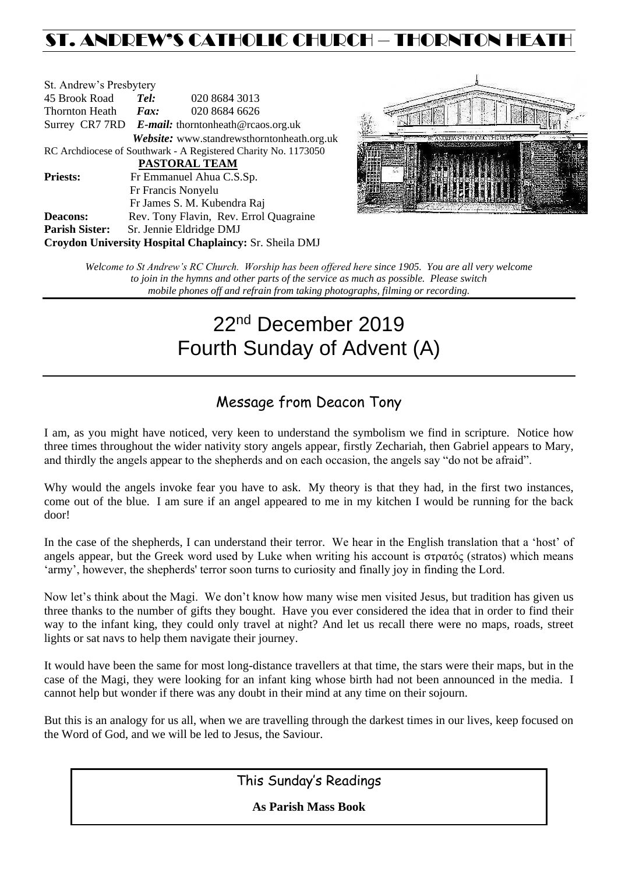## ST. ANDREW'S CATHOLIC CHURCH – THORNTON HEAT

| St. Andrew's Presbytery |                                                   |                                                                |  |  |  |
|-------------------------|---------------------------------------------------|----------------------------------------------------------------|--|--|--|
| 45 Brook Road           | Tel:                                              | 020 8684 3013                                                  |  |  |  |
| Thornton Heath          | Fax:                                              | 020 8684 6626                                                  |  |  |  |
|                         | Surrey CR7 7RD E-mail: thorntonheath@rcaos.org.uk |                                                                |  |  |  |
|                         |                                                   | Website: www.standrewsthorntonheath.org.uk                     |  |  |  |
|                         |                                                   | RC Archdiocese of Southwark - A Registered Charity No. 1173050 |  |  |  |
|                         |                                                   | <b>PASTORAL TEAM</b>                                           |  |  |  |
| <b>Priests:</b>         |                                                   | Fr Emmanuel Ahua C.S.Sp.                                       |  |  |  |
|                         |                                                   | Fr Francis Nonyelu                                             |  |  |  |
|                         |                                                   | Fr James S. M. Kubendra Raj                                    |  |  |  |
| <b>Deacons:</b>         |                                                   | Rev. Tony Flavin, Rev. Errol Quagraine                         |  |  |  |
| <b>Parish Sister:</b>   |                                                   | Sr. Jennie Eldridge DMJ                                        |  |  |  |
|                         |                                                   | Croydon University Hospital Chaplaincy: Sr. Sheila DMJ         |  |  |  |



*Welcome to St Andrew's RC Church. Worship has been offered here since 1905. You are all very welcome to join in the hymns and other parts of the service as much as possible. Please switch mobile phones off and refrain from taking photographs, filming or recording.*

# 22<sup>nd</sup> December 2019 Fourth Sunday of Advent (A)

### Message from Deacon Tony

I am, as you might have noticed, very keen to understand the symbolism we find in scripture. Notice how three times throughout the wider nativity story angels appear, firstly Zechariah, then Gabriel appears to Mary, and thirdly the angels appear to the shepherds and on each occasion, the angels say "do not be afraid".

Why would the angels invoke fear you have to ask. My theory is that they had, in the first two instances, come out of the blue. I am sure if an angel appeared to me in my kitchen I would be running for the back door!

In the case of the shepherds, I can understand their terror. We hear in the English translation that a 'host' of angels appear, but the Greek word used by Luke when writing his account is στρατός (stratos) which means 'army', however, the shepherds' terror soon turns to curiosity and finally joy in finding the Lord.

Now let's think about the Magi. We don't know how many wise men visited Jesus, but tradition has given us three thanks to the number of gifts they bought. Have you ever considered the idea that in order to find their way to the infant king, they could only travel at night? And let us recall there were no maps, roads, street lights or sat navs to help them navigate their journey.

It would have been the same for most long-distance travellers at that time, the stars were their maps, but in the case of the Magi, they were looking for an infant king whose birth had not been announced in the media. I cannot help but wonder if there was any doubt in their mind at any time on their sojourn.

But this is an analogy for us all, when we are travelling through the darkest times in our lives, keep focused on the Word of God, and we will be led to Jesus, the Saviour.

This Sunday's Readings

**As Parish Mass Book**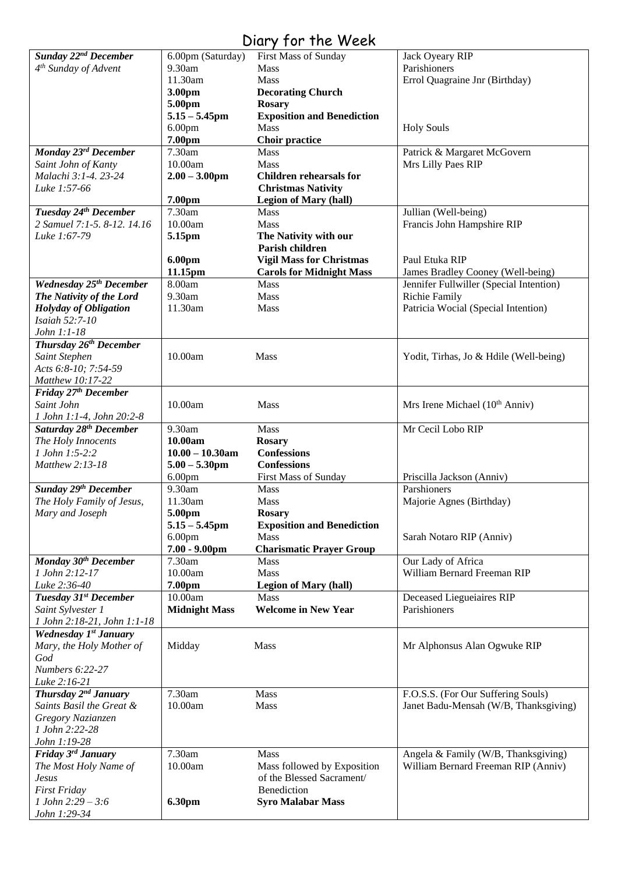### Diary for the Week

| Sunday 22 <sup>nd</sup> December    |                      |                                   |                                            |
|-------------------------------------|----------------------|-----------------------------------|--------------------------------------------|
|                                     | 6.00pm (Saturday)    | First Mass of Sunday              | Jack Oyeary RIP                            |
| 4 <sup>th</sup> Sunday of Advent    | 9.30am               | <b>Mass</b>                       | Parishioners                               |
|                                     | 11.30am              | Mass                              |                                            |
|                                     |                      |                                   | Errol Quagraine Jnr (Birthday)             |
|                                     | 3.00pm               | <b>Decorating Church</b>          |                                            |
|                                     | 5.00pm               | <b>Rosary</b>                     |                                            |
|                                     | $5.15 - 5.45$ pm     | <b>Exposition and Benediction</b> |                                            |
|                                     | 6.00 <sub>pm</sub>   | <b>Mass</b>                       | <b>Holy Souls</b>                          |
|                                     | 7.00pm               | Choir practice                    |                                            |
|                                     |                      |                                   |                                            |
| Monday 23rd December                | 7.30am               | <b>Mass</b>                       | Patrick & Margaret McGovern                |
| Saint John of Kanty                 | 10.00am              | <b>Mass</b>                       | Mrs Lilly Paes RIP                         |
| Malachi 3:1-4.23-24                 | $2.00 - 3.00$ pm     | <b>Children rehearsals for</b>    |                                            |
| Luke 1:57-66                        |                      | <b>Christmas Nativity</b>         |                                            |
|                                     | 7.00pm               | <b>Legion of Mary (hall)</b>      |                                            |
|                                     | 7.30am               |                                   |                                            |
| Tuesday 24th December               |                      | Mass                              | Jullian (Well-being)                       |
| 2 Samuel 7:1-5, 8-12, 14.16         | 10.00am              | <b>Mass</b>                       | Francis John Hampshire RIP                 |
| Luke 1:67-79                        | 5.15pm               | The Nativity with our             |                                            |
|                                     |                      | Parish children                   |                                            |
|                                     | 6.00pm               | <b>Vigil Mass for Christmas</b>   | Paul Etuka RIP                             |
|                                     | 11.15pm              | <b>Carols for Midnight Mass</b>   | James Bradley Cooney (Well-being)          |
|                                     |                      |                                   |                                            |
| Wednesday 25 <sup>th</sup> December | 8.00am               | <b>Mass</b>                       | Jennifer Fullwiller (Special Intention)    |
| The Nativity of the Lord            | 9.30am               | <b>Mass</b>                       | <b>Richie Family</b>                       |
| <b>Holyday of Obligation</b>        | 11.30am              | <b>Mass</b>                       | Patricia Wocial (Special Intention)        |
| Isaiah 52:7-10                      |                      |                                   |                                            |
| John 1:1-18                         |                      |                                   |                                            |
|                                     |                      |                                   |                                            |
| Thursday 26 <sup>th</sup> December  |                      |                                   |                                            |
| Saint Stephen                       | 10.00am              | Mass                              | Yodit, Tirhas, Jo & Hdile (Well-being)     |
| Acts 6:8-10; 7:54-59                |                      |                                   |                                            |
| Matthew 10:17-22                    |                      |                                   |                                            |
| Friday 27 <sup>th</sup> December    |                      |                                   |                                            |
| Saint John                          | 10.00am              | Mass                              | Mrs Irene Michael (10 <sup>th</sup> Anniv) |
|                                     |                      |                                   |                                            |
|                                     |                      |                                   |                                            |
| 1 John 1:1-4, John 20:2-8           |                      |                                   |                                            |
| Saturday 28 <sup>th</sup> December  | 9.30am               | <b>Mass</b>                       | Mr Cecil Lobo RIP                          |
|                                     |                      |                                   |                                            |
| The Holy Innocents                  | 10.00am              | <b>Rosary</b>                     |                                            |
| 1 John 1:5-2:2                      | $10.00 - 10.30$ am   | <b>Confessions</b>                |                                            |
| Matthew 2:13-18                     | $5.00 - 5.30$ pm     | <b>Confessions</b>                |                                            |
|                                     | 6.00 <sub>pm</sub>   | First Mass of Sunday              | Priscilla Jackson (Anniv)                  |
| Sunday 29 <sup>th</sup> December    | 9.30am               | Mass                              | Parshioners                                |
| The Holy Family of Jesus,           | 11.30am              | <b>Mass</b>                       | Majorie Agnes (Birthday)                   |
|                                     |                      |                                   |                                            |
| Mary and Joseph                     | 5.00pm               | <b>Rosary</b>                     |                                            |
|                                     | $5.15 - 5.45$ pm     | <b>Exposition and Benediction</b> |                                            |
|                                     | 6.00 <sub>pm</sub>   | Mass                              | Sarah Notaro RIP (Anniv)                   |
|                                     | $7.00 - 9.00$ pm     | <b>Charismatic Prayer Group</b>   |                                            |
| Monday 30 <sup>th</sup> December    | 7.30am               | <b>Mass</b>                       | Our Lady of Africa                         |
| 1 John 2:12-17                      | 10.00am              | <b>Mass</b>                       | William Bernard Freeman RIP                |
| Luke 2:36-40                        | 7.00pm               | <b>Legion of Mary (hall)</b>      |                                            |
|                                     |                      |                                   |                                            |
| Tuesday 31st December               | 10.00am              | Mass                              | Deceased Liegueiaires RIP                  |
| Saint Sylvester 1                   | <b>Midnight Mass</b> | <b>Welcome in New Year</b>        | Parishioners                               |
| 1 John 2:18-21, John 1:1-18         |                      |                                   |                                            |
| Wednesday 1st January               |                      |                                   |                                            |
| Mary, the Holy Mother of            | Midday               | <b>Mass</b>                       | Mr Alphonsus Alan Ogwuke RIP               |
| God                                 |                      |                                   |                                            |
|                                     |                      |                                   |                                            |
| Numbers 6:22-27                     |                      |                                   |                                            |
| Luke 2:16-21                        |                      |                                   |                                            |
| Thursday 2 <sup>nd</sup> January    | 7.30am               | Mass                              | F.O.S.S. (For Our Suffering Souls)         |
| Saints Basil the Great &            | 10.00am              | Mass                              | Janet Badu-Mensah (W/B, Thanksgiving)      |
| Gregory Nazianzen                   |                      |                                   |                                            |
|                                     |                      |                                   |                                            |
| 1 John 2:22-28                      |                      |                                   |                                            |
| John 1:19-28                        |                      |                                   |                                            |
| Friday 3rd January                  | 7.30am               | <b>Mass</b>                       | Angela & Family (W/B, Thanksgiving)        |
| The Most Holy Name of               | 10.00am              | Mass followed by Exposition       | William Bernard Freeman RIP (Anniv)        |
| <b>Jesus</b>                        |                      | of the Blessed Sacrament/         |                                            |
| <b>First Friday</b>                 |                      | Benediction                       |                                            |
| 1 John 2:29 - 3:6                   | 6.30pm               | <b>Syro Malabar Mass</b>          |                                            |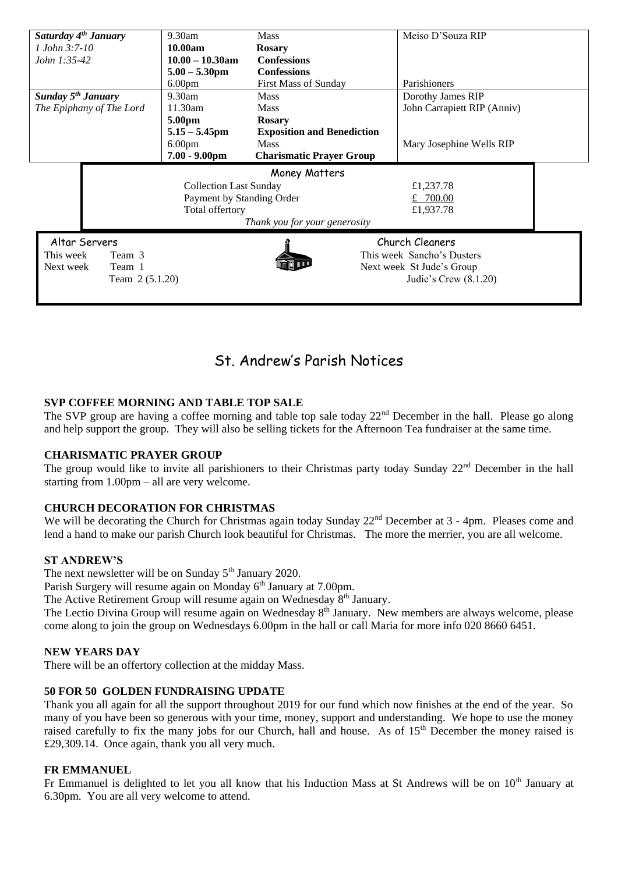| Saturday 4 <sup>th</sup> January |                          | 9.30am             | <b>Mass</b>                       | Meiso D'Souza RIP           |  |  |
|----------------------------------|--------------------------|--------------------|-----------------------------------|-----------------------------|--|--|
| $1$ John 3:7-10                  |                          | 10.00am            | <b>Rosary</b>                     |                             |  |  |
| John 1:35-42                     |                          | $10.00 - 10.30$ am | <b>Confessions</b>                |                             |  |  |
|                                  |                          | $5.00 - 5.30$ pm   | <b>Confessions</b>                |                             |  |  |
|                                  |                          | 6.00 <sub>pm</sub> | <b>First Mass of Sunday</b>       | Parishioners                |  |  |
| Sunday $5^{th}$ January          |                          | $9.30$ am          | <b>Mass</b>                       | Dorothy James RIP           |  |  |
|                                  | The Epiphany of The Lord | 11.30am            | <b>Mass</b>                       | John Carrapiett RIP (Anniv) |  |  |
|                                  |                          | 5.00pm             | <b>Rosary</b>                     |                             |  |  |
|                                  |                          | $5.15 - 5.45$ pm   | <b>Exposition and Benediction</b> |                             |  |  |
|                                  |                          | 6.00 <sub>pm</sub> | <b>Mass</b>                       | Mary Josephine Wells RIP    |  |  |
|                                  |                          | $7.00 - 9.00$ pm   | <b>Charismatic Prayer Group</b>   |                             |  |  |
| Money Matters                    |                          |                    |                                   |                             |  |  |
| <b>Collection Last Sunday</b>    |                          | £1,237.78          |                                   |                             |  |  |
| Payment by Standing Order        |                          |                    |                                   |                             |  |  |
|                                  |                          |                    |                                   | £ $700.00$                  |  |  |
|                                  |                          | Total offertory    |                                   | £1,937.78                   |  |  |
|                                  |                          |                    | Thank you for your generosity     |                             |  |  |
|                                  | Altar Servers            |                    |                                   | Church Cleaners             |  |  |
|                                  | Team 3                   |                    |                                   |                             |  |  |
| This week<br>Next week           | Team 1                   |                    |                                   | This week Sancho's Dusters  |  |  |
|                                  |                          |                    |                                   | Next week St Jude's Group   |  |  |
|                                  | Team 2 (5.1.20)          |                    |                                   | Judie's Crew $(8.1.20)$     |  |  |

### St. Andrew's Parish Notices

#### **SVP COFFEE MORNING AND TABLE TOP SALE**

The SVP group are having a coffee morning and table top sale today  $22<sup>nd</sup>$  December in the hall. Please go along and help support the group. They will also be selling tickets for the Afternoon Tea fundraiser at the same time.

#### **CHARISMATIC PRAYER GROUP**

The group would like to invite all parishioners to their Christmas party today Sunday 22<sup>nd</sup> December in the hall starting from 1.00pm – all are very welcome.

#### **CHURCH DECORATION FOR CHRISTMAS**

We will be decorating the Church for Christmas again today Sunday 22<sup>nd</sup> December at 3 - 4pm. Pleases come and lend a hand to make our parish Church look beautiful for Christmas. The more the merrier, you are all welcome.

#### **ST ANDREW'S**

The next newsletter will be on Sunday  $5<sup>th</sup>$  January 2020.

Parish Surgery will resume again on Monday 6<sup>th</sup> January at 7.00pm.

The Active Retirement Group will resume again on Wednesday  $8<sup>th</sup>$  January.

The Lectio Divina Group will resume again on Wednesday 8<sup>th</sup> January. New members are always welcome, please come along to join the group on Wednesdays 6.00pm in the hall or call Maria for more info 020 8660 6451.

#### **NEW YEARS DAY**

There will be an offertory collection at the midday Mass.

#### **50 FOR 50 GOLDEN FUNDRAISING UPDATE**

Thank you all again for all the support throughout 2019 for our fund which now finishes at the end of the year. So many of you have been so generous with your time, money, support and understanding. We hope to use the money raised carefully to fix the many jobs for our Church, hall and house. As of 15<sup>th</sup> December the money raised is £29,309.14. Once again, thank you all very much.

#### **FR EMMANUEL**

Fr Emmanuel is delighted to let you all know that his Induction Mass at St Andrews will be on 10<sup>th</sup> January at 6.30pm. You are all very welcome to attend.